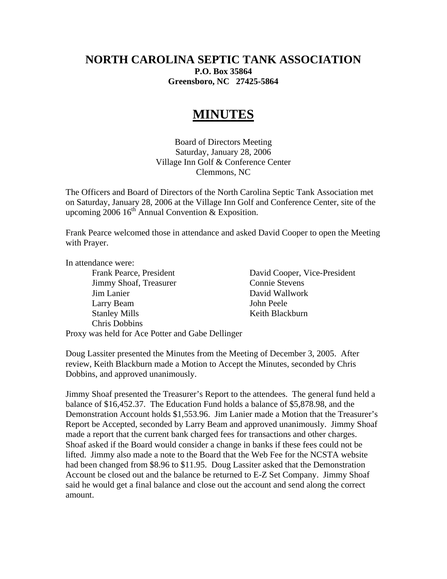## **NORTH CAROLINA SEPTIC TANK ASSOCIATION P.O. Box 35864 Greensboro, NC 27425-5864**

## **MINUTES**

Board of Directors Meeting Saturday, January 28, 2006 Village Inn Golf & Conference Center Clemmons, NC

The Officers and Board of Directors of the North Carolina Septic Tank Association met on Saturday, January 28, 2006 at the Village Inn Golf and Conference Center, site of the upcoming 2006  $16^{th}$  Annual Convention & Exposition.

Frank Pearce welcomed those in attendance and asked David Cooper to open the Meeting with Prayer.

In attendance were:

**Jimmy Shoaf, Treasurer Connie Stevens**  Jim Lanier David Wallwork Larry Beam John Peele Stanley Mills Keith Blackburn Chris Dobbins

Frank Pearce, President David Cooper, Vice-President

Proxy was held for Ace Potter and Gabe Dellinger

Doug Lassiter presented the Minutes from the Meeting of December 3, 2005. After review, Keith Blackburn made a Motion to Accept the Minutes, seconded by Chris Dobbins, and approved unanimously.

Jimmy Shoaf presented the Treasurer's Report to the attendees. The general fund held a balance of \$16,452.37. The Education Fund holds a balance of \$5,878.98, and the Demonstration Account holds \$1,553.96. Jim Lanier made a Motion that the Treasurer's Report be Accepted, seconded by Larry Beam and approved unanimously. Jimmy Shoaf made a report that the current bank charged fees for transactions and other charges. Shoaf asked if the Board would consider a change in banks if these fees could not be lifted. Jimmy also made a note to the Board that the Web Fee for the NCSTA website had been changed from \$8.96 to \$11.95. Doug Lassiter asked that the Demonstration Account be closed out and the balance be returned to E-Z Set Company. Jimmy Shoaf said he would get a final balance and close out the account and send along the correct amount.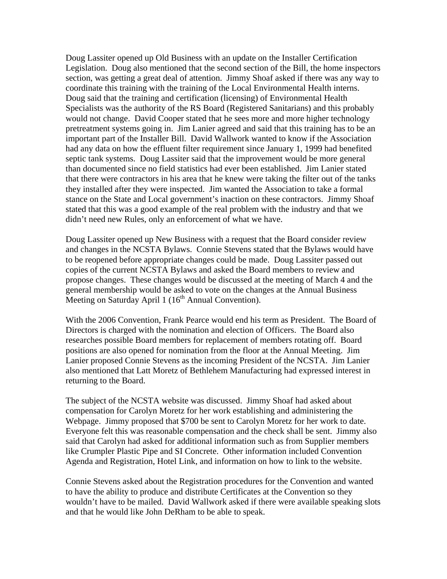Doug Lassiter opened up Old Business with an update on the Installer Certification Legislation. Doug also mentioned that the second section of the Bill, the home inspectors section, was getting a great deal of attention. Jimmy Shoaf asked if there was any way to coordinate this training with the training of the Local Environmental Health interns. Doug said that the training and certification (licensing) of Environmental Health Specialists was the authority of the RS Board (Registered Sanitarians) and this probably would not change. David Cooper stated that he sees more and more higher technology pretreatment systems going in. Jim Lanier agreed and said that this training has to be an important part of the Installer Bill. David Wallwork wanted to know if the Association had any data on how the effluent filter requirement since January 1, 1999 had benefited septic tank systems. Doug Lassiter said that the improvement would be more general than documented since no field statistics had ever been established. Jim Lanier stated that there were contractors in his area that he knew were taking the filter out of the tanks they installed after they were inspected. Jim wanted the Association to take a formal stance on the State and Local government's inaction on these contractors. Jimmy Shoaf stated that this was a good example of the real problem with the industry and that we didn't need new Rules, only an enforcement of what we have.

Doug Lassiter opened up New Business with a request that the Board consider review and changes in the NCSTA Bylaws. Connie Stevens stated that the Bylaws would have to be reopened before appropriate changes could be made. Doug Lassiter passed out copies of the current NCSTA Bylaws and asked the Board members to review and propose changes. These changes would be discussed at the meeting of March 4 and the general membership would be asked to vote on the changes at the Annual Business Meeting on Saturday April 1  $(16<sup>th</sup>$  Annual Convention).

With the 2006 Convention, Frank Pearce would end his term as President. The Board of Directors is charged with the nomination and election of Officers. The Board also researches possible Board members for replacement of members rotating off. Board positions are also opened for nomination from the floor at the Annual Meeting. Jim Lanier proposed Connie Stevens as the incoming President of the NCSTA. Jim Lanier also mentioned that Latt Moretz of Bethlehem Manufacturing had expressed interest in returning to the Board.

The subject of the NCSTA website was discussed. Jimmy Shoaf had asked about compensation for Carolyn Moretz for her work establishing and administering the Webpage. Jimmy proposed that \$700 be sent to Carolyn Moretz for her work to date. Everyone felt this was reasonable compensation and the check shall be sent. Jimmy also said that Carolyn had asked for additional information such as from Supplier members like Crumpler Plastic Pipe and SI Concrete. Other information included Convention Agenda and Registration, Hotel Link, and information on how to link to the website.

Connie Stevens asked about the Registration procedures for the Convention and wanted to have the ability to produce and distribute Certificates at the Convention so they wouldn't have to be mailed. David Wallwork asked if there were available speaking slots and that he would like John DeRham to be able to speak.